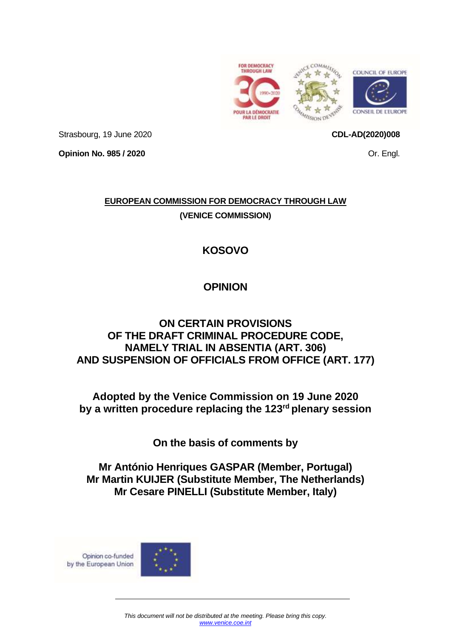





Strasbourg, 19 June 2020

**Opinion No. 985 / 2020**

**CDL-AD(2020)008**

Or. Engl.

## **EUROPEAN COMMISSION FOR DEMOCRACY THROUGH LAW (VENICE COMMISSION)**

# **KOSOVO**

# **OPINION**

## **ON CERTAIN PROVISIONS OF THE DRAFT CRIMINAL PROCEDURE CODE, NAMELY TRIAL IN ABSENTIA (ART. 306) AND SUSPENSION OF OFFICIALS FROM OFFICE (ART. 177)**

**Adopted by the Venice Commission on 19 June 2020 by a written procedure replacing the 123 rd plenary session**

**On the basis of comments by**

**Mr António Henriques GASPAR (Member, Portugal) Mr Martin KUIJER (Substitute Member, The Netherlands) Mr Cesare PINELLI (Substitute Member, Italy)**

Opinion co-funded by the European Union

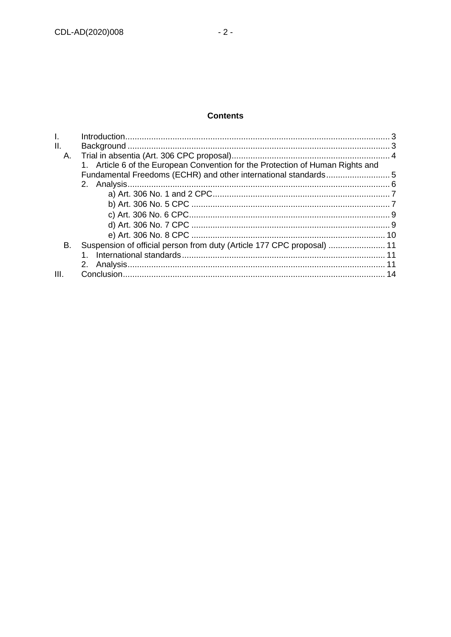### **Contents**

| II.  |                                                                                |  |
|------|--------------------------------------------------------------------------------|--|
| А.   |                                                                                |  |
|      | 1. Article 6 of the European Convention for the Protection of Human Rights and |  |
|      | Fundamental Freedoms (ECHR) and other international standards5                 |  |
|      |                                                                                |  |
|      |                                                                                |  |
|      |                                                                                |  |
|      |                                                                                |  |
|      |                                                                                |  |
|      |                                                                                |  |
| В.   | Suspension of official person from duty (Article 177 CPC proposal)  11         |  |
|      |                                                                                |  |
|      | 2.                                                                             |  |
| III. |                                                                                |  |
|      |                                                                                |  |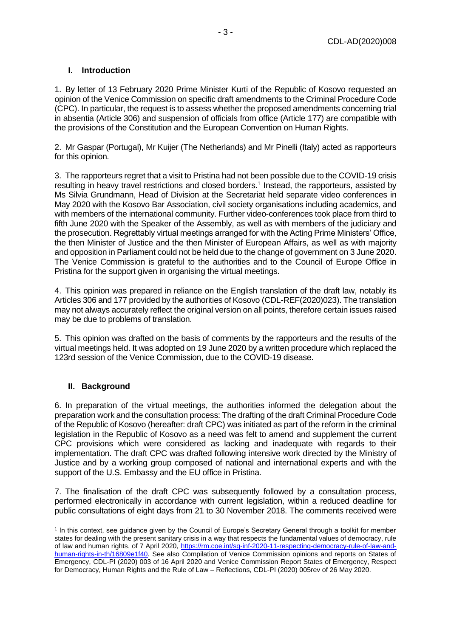### <span id="page-2-0"></span>**I. Introduction**

1. By letter of 13 February 2020 Prime Minister Kurti of the Republic of Kosovo requested an opinion of the Venice Commission on specific draft amendments to the Criminal Procedure Code (CPC). In particular, the request is to assess whether the proposed amendments concerning trial in absentia (Article 306) and suspension of officials from office (Article 177) are compatible with the provisions of the Constitution and the European Convention on Human Rights.

2. Mr Gaspar (Portugal), Mr Kuijer (The Netherlands) and Mr Pinelli (Italy) acted as rapporteurs for this opinion.

3. The rapporteurs regret that a visit to Pristina had not been possible due to the COVID-19 crisis resulting in heavy travel restrictions and closed borders.<sup>1</sup> Instead, the rapporteurs, assisted by Ms Silvia Grundmann, Head of Division at the Secretariat held separate video conferences in May 2020 with the Kosovo Bar Association, civil society organisations including academics, and with members of the international community. Further video-conferences took place from third to fifth June 2020 with the Speaker of the Assembly, as well as with members of the judiciary and the prosecution. Regrettably virtual meetings arranged for with the Acting Prime Ministers' Office, the then Minister of Justice and the then Minister of European Affairs, as well as with majority and opposition in Parliament could not be held due to the change of government on 3 June 2020. The Venice Commission is grateful to the authorities and to the Council of Europe Office in Pristina for the support given in organising the virtual meetings.

4. This opinion was prepared in reliance on the English translation of the draft law, notably its Articles 306 and 177 provided by the authorities of Kosovo (CDL-REF(2020)023). The translation may not always accurately reflect the original version on all points, therefore certain issues raised may be due to problems of translation.

5. This opinion was drafted on the basis of comments by the rapporteurs and the results of the virtual meetings held. It was adopted on 19 June 2020 by a written procedure which replaced the 123rd session of the Venice Commission, due to the COVID-19 disease.

#### <span id="page-2-1"></span>**II. Background**

6. In preparation of the virtual meetings, the authorities informed the delegation about the preparation work and the consultation process: The drafting of the draft Criminal Procedure Code of the Republic of Kosovo (hereafter: draft CPC) was initiated as part of the reform in the criminal legislation in the Republic of Kosovo as a need was felt to amend and supplement the current CPC provisions which were considered as lacking and inadequate with regards to their implementation. The draft CPC was drafted following intensive work directed by the Ministry of Justice and by a working group composed of national and international experts and with the support of the U.S. Embassy and the EU office in Pristina.

7. The finalisation of the draft CPC was subsequently followed by a consultation process, performed electronically in accordance with current legislation, within a reduced deadline for public consultations of eight days from 21 to 30 November 2018. The comments received were

<sup>1</sup> In this context, see guidance given by the Council of Europe's Secretary General through a toolkit for member states for dealing with the present sanitary crisis in a way that respects the fundamental values of democracy, rule of law and human rights, of 7 April 2020, [https://rm.coe.int/sg-inf-2020-11-respecting-democracy-rule-of-law-and](https://rm.coe.int/sg-inf-2020-11-respecting-democracy-rule-of-law-and-human-rights-in-th/16809e1f40)[human-rights-in-th/16809e1f40.](https://rm.coe.int/sg-inf-2020-11-respecting-democracy-rule-of-law-and-human-rights-in-th/16809e1f40) See also Compilation of Venice Commission opinions and reports on States of Emergency, CDL-PI (2020) 003 of 16 April 2020 and Venice Commission Report States of Emergency, Respect for Democracy, Human Rights and the Rule of Law – Reflections, CDL-PI (2020) 005rev of 26 May 2020.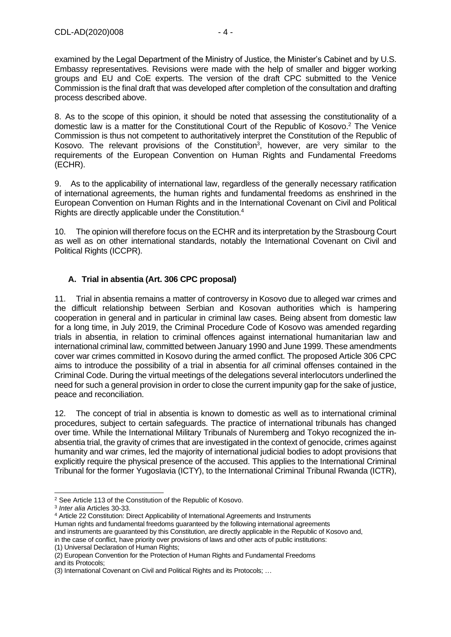examined by the Legal Department of the Ministry of Justice, the Minister's Cabinet and by U.S. Embassy representatives. Revisions were made with the help of smaller and bigger working groups and EU and CoE experts. The version of the draft CPC submitted to the Venice Commission is the final draft that was developed after completion of the consultation and drafting process described above.

8. As to the scope of this opinion, it should be noted that assessing the constitutionality of a domestic law is a matter for the Constitutional Court of the Republic of Kosovo. <sup>2</sup> The Venice Commission is thus not competent to authoritatively interpret the Constitution of the Republic of Kosovo. The relevant provisions of the Constitution<sup>3</sup>, however, are very similar to the requirements of the European Convention on Human Rights and Fundamental Freedoms (ECHR).

9. As to the applicability of international law, regardless of the generally necessary ratification of international agreements, the human rights and fundamental freedoms as enshrined in the European Convention on Human Rights and in the International Covenant on Civil and Political Rights are directly applicable under the Constitution. 4

10. The opinion will therefore focus on the ECHR and its interpretation by the Strasbourg Court as well as on other international standards, notably the International Covenant on Civil and Political Rights (ICCPR).

## <span id="page-3-0"></span>**A. Trial in absentia (Art. 306 CPC proposal)**

11. Trial in absentia remains a matter of controversy in Kosovo due to alleged war crimes and the difficult relationship between Serbian and Kosovan authorities which is hampering cooperation in general and in particular in criminal law cases. Being absent from domestic law for a long time, in July 2019, the Criminal Procedure Code of Kosovo was amended regarding trials in absentia, in relation to criminal offences against international humanitarian law and international criminal law, committed between January 1990 and June 1999. These amendments cover war crimes committed in Kosovo during the armed conflict. The proposed Article 306 CPC aims to introduce the possibility of a trial in absentia for *all* criminal offenses contained in the Criminal Code. During the virtual meetings of the delegations several interlocutors underlined the need for such a general provision in order to close the current impunity gap for the sake of justice, peace and reconciliation.

12. The concept of trial in absentia is known to domestic as well as to international criminal procedures, subject to certain safeguards. The practice of international tribunals has changed over time. While the International Military Tribunals of Nuremberg and Tokyo recognized the inabsentia trial, the gravity of crimes that are investigated in the context of genocide, crimes against humanity and war crimes, led the majority of international judicial bodies to adopt provisions that explicitly require the physical presence of the accused. This applies to the International Criminal Tribunal for the former Yugoslavia (ICTY), to the International Criminal Tribunal Rwanda (ICTR),

<sup>4</sup> Article 22 Constitution: Direct Applicability of International Agreements and Instruments

Human rights and fundamental freedoms guaranteed by the following international agreements and instruments are guaranteed by this Constitution, are directly applicable in the Republic of Kosovo and,

in the case of conflict, have priority over provisions of laws and other acts of public institutions: (1) Universal Declaration of Human Rights;

(2) European Convention for the Protection of Human Rights and Fundamental Freedoms and its Protocols;

<sup>2</sup> See Article 113 of the Constitution of the Republic of Kosovo.

<sup>3</sup> *Inter alia* Articles 30-33.

<sup>(3)</sup> International Covenant on Civil and Political Rights and its Protocols; …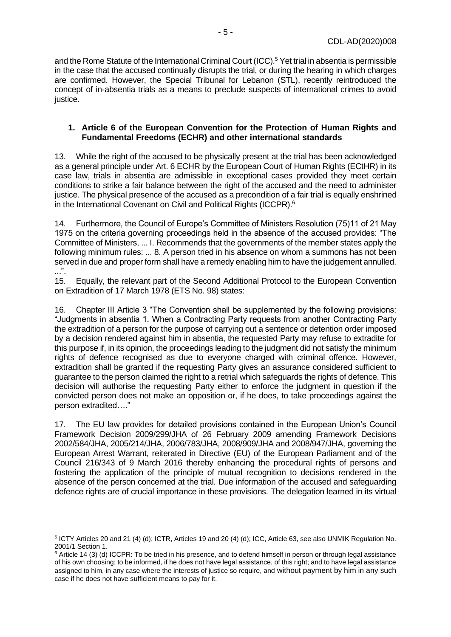and the Rome Statute of the International Criminal Court (ICC). <sup>5</sup> Yet trial in absentia is permissible in the case that the accused continually disrupts the trial, or during the hearing in which charges are confirmed. However, the Special Tribunal for Lebanon (STL), recently reintroduced the concept of in-absentia trials as a means to preclude suspects of international crimes to avoid justice.

#### <span id="page-4-0"></span>**1. Article 6 of the European Convention for the Protection of Human Rights and Fundamental Freedoms (ECHR) and other international standards**

13. While the right of the accused to be physically present at the trial has been acknowledged as a general principle under Art. 6 ECHR by the European Court of Human Rights (ECtHR) in its case law, trials in absentia are admissible in exceptional cases provided they meet certain conditions to strike a fair balance between the right of the accused and the need to administer justice. The physical presence of the accused as a precondition of a fair trial is equally enshrined in the International Covenant on Civil and Political Rights (ICCPR).<sup>6</sup>

14. Furthermore, the Council of Europe's Committee of Ministers Resolution (75)11 of 21 May 1975 on the criteria governing proceedings held in the absence of the accused provides: "The Committee of Ministers, ... I. Recommends that the governments of the member states apply the following minimum rules: ... 8. A person tried in his absence on whom a summons has not been served in due and proper form shall have a remedy enabling him to have the judgement annulled.  $\ldots$ ".

15. Equally, the relevant part of the Second Additional Protocol to the European Convention on Extradition of 17 March 1978 (ETS No. 98) states:

16. Chapter III Article 3 "The Convention shall be supplemented by the following provisions: "Judgments in absentia 1. When a Contracting Party requests from another Contracting Party the extradition of a person for the purpose of carrying out a sentence or detention order imposed by a decision rendered against him in absentia, the requested Party may refuse to extradite for this purpose if, in its opinion, the proceedings leading to the judgment did not satisfy the minimum rights of defence recognised as due to everyone charged with criminal offence. However, extradition shall be granted if the requesting Party gives an assurance considered sufficient to guarantee to the person claimed the right to a retrial which safeguards the rights of defence. This decision will authorise the requesting Party either to enforce the judgment in question if the convicted person does not make an opposition or, if he does, to take proceedings against the person extradited…."

17. The EU law provides for detailed provisions contained in the European Union's Council Framework Decision 2009/299/JHA of 26 February 2009 amending Framework Decisions 2002/584/JHA, 2005/214/JHA, 2006/783/JHA, 2008/909/JHA and 2008/947/JHA, governing the European Arrest Warrant, reiterated in Directive (EU) of the European Parliament and of the Council 216/343 of 9 March 2016 thereby enhancing the procedural rights of persons and fostering the application of the principle of mutual recognition to decisions rendered in the absence of the person concerned at the trial. Due information of the accused and safeguarding defence rights are of crucial importance in these provisions. The delegation learned in its virtual

<sup>5</sup> ICTY Articles 20 and 21 (4) (d); ICTR, Articles 19 and 20 (4) (d); ICC, Article 63, see also UNMIK Regulation No. 2001/1 Section 1.

 $6$  Article 14 (3) (d) ICCPR: To be tried in his presence, and to defend himself in person or through legal assistance of his own choosing; to be informed, if he does not have legal assistance, of this right; and to have legal assistance assigned to him, in any case where the interests of justice so require, and without payment by him in any such case if he does not have sufficient means to pay for it.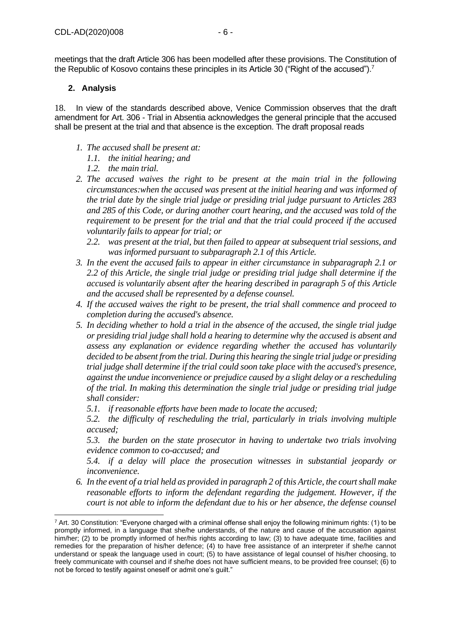### <span id="page-5-0"></span>**2. Analysis**

18. In view of the standards described above, Venice Commission observes that the draft amendment for Art. 306 - Trial in Absentia acknowledges the general principle that the accused shall be present at the trial and that absence is the exception. The draft proposal reads

- *1. The accused shall be present at:*
	- *1.1. the initial hearing; and*
	- *1.2. the main trial.*
- *2. The accused waives the right to be present at the main trial in the following circumstances:when the accused was present at the initial hearing and was informed of the trial date by the single trial judge or presiding trial judge pursuant to Articles 283 and 285 of this Code, or during another court hearing, and the accused was told of the requirement to be present for the trial and that the trial could proceed if the accused voluntarily fails to appear for trial; or*
	- *2.2. was present at the trial, but then failed to appear at subsequent trial sessions, and was informed pursuant to subparagraph 2.1 of this Article.*
- *3. In the event the accused fails to appear in either circumstance in subparagraph 2.1 or 2.2 of this Article, the single trial judge or presiding trial judge shall determine if the accused is voluntarily absent after the hearing described in paragraph 5 of this Article and the accused shall be represented by a defense counsel.*
- *4. If the accused waives the right to be present, the trial shall commence and proceed to completion during the accused's absence.*
- *5. In deciding whether to hold a trial in the absence of the accused, the single trial judge or presiding trial judge shall hold a hearing to determine why the accused is absent and assess any explanation or evidence regarding whether the accused has voluntarily decided to be absent from the trial. During this hearing the single trial judge or presiding trial judge shall determine if the trial could soon take place with the accused's presence, against the undue inconvenience or prejudice caused by a slight delay or a rescheduling of the trial. In making this determination the single trial judge or presiding trial judge shall consider:* 
	- *5.1. if reasonable efforts have been made to locate the accused;*

*5.2. the difficulty of rescheduling the trial, particularly in trials involving multiple accused;*

*5.3. the burden on the state prosecutor in having to undertake two trials involving evidence common to co-accused; and*

*5.4. if a delay will place the prosecution witnesses in substantial jeopardy or inconvenience.*

*6. In the event of a trial held as provided in paragraph 2 of this Article, the court shall make reasonable efforts to inform the defendant regarding the judgement. However, if the court is not able to inform the defendant due to his or her absence, the defense counsel* 

 $7$  Art. 30 Constitution: "Everyone charged with a criminal offense shall enjoy the following minimum rights: (1) to be promptly informed, in a language that she/he understands, of the nature and cause of the accusation against him/her; (2) to be promptly informed of her/his rights according to law; (3) to have adequate time, facilities and remedies for the preparation of his/her defence; (4) to have free assistance of an interpreter if she/he cannot understand or speak the language used in court; (5) to have assistance of legal counsel of his/her choosing, to freely communicate with counsel and if she/he does not have sufficient means, to be provided free counsel; (6) to not be forced to testify against oneself or admit one's guilt."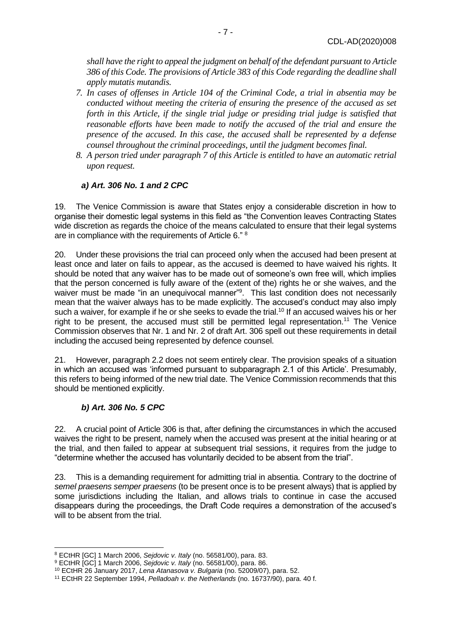*shall have the right to appeal the judgment on behalf of the defendant pursuant to Article 386 of this Code. The provisions of Article 383 of this Code regarding the deadline shall apply mutatis mutandis.*

- *7. In cases of offenses in Article 104 of the Criminal Code, a trial in absentia may be conducted without meeting the criteria of ensuring the presence of the accused as set forth in this Article, if the single trial judge or presiding trial judge is satisfied that reasonable efforts have been made to notify the accused of the trial and ensure the presence of the accused. In this case, the accused shall be represented by a defense counsel throughout the criminal proceedings, until the judgment becomes final.*
- *8. A person tried under paragraph 7 of this Article is entitled to have an automatic retrial upon request.*

### *a) Art. 306 No. 1 and 2 CPC*

<span id="page-6-0"></span>19. The Venice Commission is aware that States enjoy a considerable discretion in how to organise their domestic legal systems in this field as "the Convention leaves Contracting States wide discretion as regards the choice of the means calculated to ensure that their legal systems are in compliance with the requirements of Article 6." <sup>8</sup>

20. Under these provisions the trial can proceed only when the accused had been present at least once and later on fails to appear, as the accused is deemed to have waived his rights. It should be noted that any waiver has to be made out of someone's own free will, which implies that the person concerned is fully aware of the (extent of the) rights he or she waives, and the waiver must be made "in an unequivocal manner"<sup>9</sup>. This last condition does not necessarily mean that the waiver always has to be made explicitly. The accused's conduct may also imply such a waiver, for example if he or she seeks to evade the trial.<sup>10</sup> If an accused waives his or her right to be present, the accused must still be permitted legal representation.<sup>11</sup> The Venice Commission observes that Nr. 1 and Nr. 2 of draft Art. 306 spell out these requirements in detail including the accused being represented by defence counsel.

21. However, paragraph 2.2 does not seem entirely clear. The provision speaks of a situation in which an accused was 'informed pursuant to subparagraph 2.1 of this Article'. Presumably, this refers to being informed of the new trial date. The Venice Commission recommends that this should be mentioned explicitly.

## *b) Art. 306 No. 5 CPC*

<span id="page-6-1"></span>22. A crucial point of Article 306 is that, after defining the circumstances in which the accused waives the right to be present, namely when the accused was present at the initial hearing or at the trial, and then failed to appear at subsequent trial sessions, it requires from the judge to "determine whether the accused has voluntarily decided to be absent from the trial".

23. This is a demanding requirement for admitting trial in absentia. Contrary to the doctrine of *semel praesens semper praesens* (to be present once is to be present always) that is applied by some jurisdictions including the Italian, and allows trials to continue in case the accused disappears during the proceedings, the Draft Code requires a demonstration of the accused's will to be absent from the trial.

<sup>8</sup> ECtHR [GC] 1 March 2006, *Sejdovic v. Italy* (no. 56581/00), para. 83.

<sup>9</sup> ECtHR [GC] 1 March 2006, *Sejdovic v. Italy* (no. 56581/00), para. 86.

<sup>10</sup> ECtHR 26 January 2017, *Lena Atanasova v. Bulgaria* (no. 52009/07), para. 52.

<sup>11</sup> ECtHR 22 September 1994, *Pelladoah v. the Netherlands* (no. 16737/90), para. 40 f.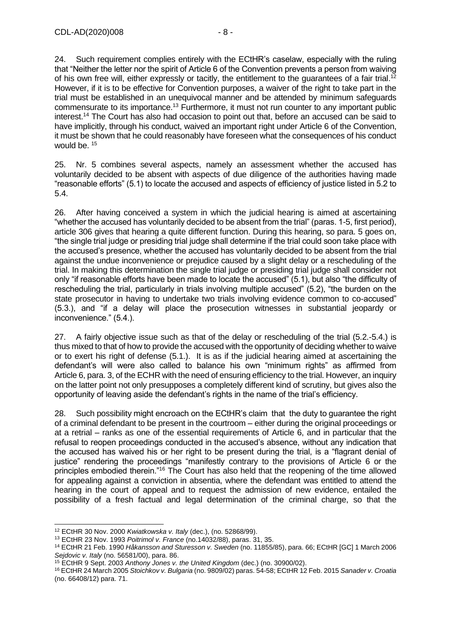24. Such requirement complies entirely with the ECtHR's caselaw, especially with the ruling that "Neither the letter nor the spirit of Article 6 of the Convention prevents a person from waiving of his own free will, either expressly or tacitly, the entitlement to the guarantees of a fair trial.<sup>12</sup> However, if it is to be effective for Convention purposes, a waiver of the right to take part in the trial must be established in an unequivocal manner and be attended by minimum safeguards commensurate to its importance.<sup>13</sup> Furthermore, it must not run counter to any important public interest. <sup>14</sup> The Court has also had occasion to point out that, before an accused can be said to have implicitly, through his conduct, waived an important right under Article 6 of the Convention, it must be shown that he could reasonably have foreseen what the consequences of his conduct would be. <sup>15</sup>

25. Nr. 5 combines several aspects, namely an assessment whether the accused has voluntarily decided to be absent with aspects of due diligence of the authorities having made "reasonable efforts" (5.1) to locate the accused and aspects of efficiency of justice listed in 5.2 to 5.4.

26. After having conceived a system in which the judicial hearing is aimed at ascertaining "whether the accused has voluntarily decided to be absent from the trial" (paras. 1-5, first period), article 306 gives that hearing a quite different function. During this hearing, so para. 5 goes on, "the single trial judge or presiding trial judge shall determine if the trial could soon take place with the accused's presence, whether the accused has voluntarily decided to be absent from the trial against the undue inconvenience or prejudice caused by a slight delay or a rescheduling of the trial. In making this determination the single trial judge or presiding trial judge shall consider not only "if reasonable efforts have been made to locate the accused" (5.1), but also "the difficulty of rescheduling the trial, particularly in trials involving multiple accused" (5.2), "the burden on the state prosecutor in having to undertake two trials involving evidence common to co-accused" (5.3.), and "if a delay will place the prosecution witnesses in substantial jeopardy or inconvenience." (5.4.).

27. A fairly objective issue such as that of the delay or rescheduling of the trial (5.2.-5.4.) is thus mixed to that of how to provide the accused with the opportunity of deciding whether to waive or to exert his right of defense (5.1.). It is as if the judicial hearing aimed at ascertaining the defendant's will were also called to balance his own "minimum rights" as affirmed from Article 6, para. 3, of the ECHR with the need of ensuring efficiency to the trial. However, an inquiry on the latter point not only presupposes a completely different kind of scrutiny, but gives also the opportunity of leaving aside the defendant's rights in the name of the trial's efficiency.

28. Such possibility might encroach on the ECtHR's claim that the duty to guarantee the right of a criminal defendant to be present in the courtroom – either during the original proceedings or at a retrial – ranks as one of the essential requirements of Article 6, and in particular that the refusal to reopen proceedings conducted in the accused's absence, without any indication that the accused has waived his or her right to be present during the trial, is a "flagrant denial of justice" rendering the proceedings "manifestly contrary to the provisions of Article 6 or the principles embodied therein."<sup>16</sup> The Court has also held that the reopening of the time allowed for appealing against a conviction in absentia, where the defendant was entitled to attend the hearing in the court of appeal and to request the admission of new evidence, entailed the possibility of a fresh factual and legal determination of the criminal charge, so that the

<sup>12</sup> ECtHR 30 Nov. 2000 *Kwiatkowska v. Italy* (dec.), (no. 52868/99).

<sup>13</sup> ECtHR 23 Nov. 1993 *Poitrimol v. France* (no.14032/88), paras. 31, 35.

<sup>14</sup> ECtHR 21 Feb. 1990 *Håkansson and Sturesson v. Sweden* (no. 11855/85), para. 66; ECtHR [GC] 1 March 2006 *Sejdovic v. Italy* (no. 56581/00), para. 86.

<sup>15</sup> ECtHR 9 Sept. 2003 *Anthony Jones v. the United Kingdom* (dec.) (no. 30900/02).

<sup>16</sup> ECtHR 24 March 2005 *Stoichkov v. Bulgaria* (no. 9809/02) paras. 54-58; ECtHR 12 Feb. 2015 *Sanader v. Croatia* (no. 66408/12) para. 71.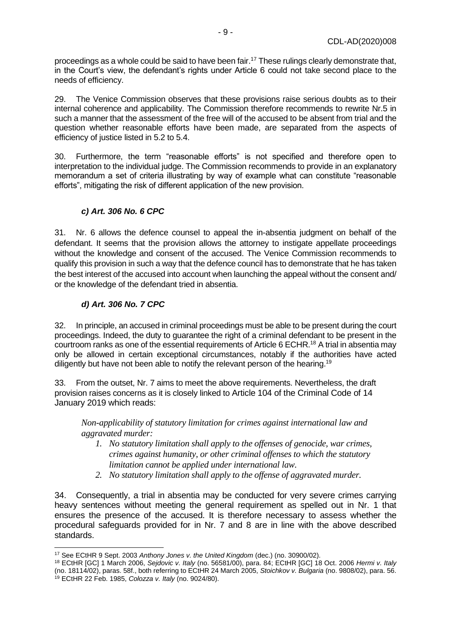proceedings as a whole could be said to have been fair.<sup>17</sup> These rulings clearly demonstrate that, in the Court's view, the defendant's rights under Article 6 could not take second place to the needs of efficiency.

29. The Venice Commission observes that these provisions raise serious doubts as to their internal coherence and applicability. The Commission therefore recommends to rewrite Nr.5 in such a manner that the assessment of the free will of the accused to be absent from trial and the question whether reasonable efforts have been made, are separated from the aspects of efficiency of justice listed in 5.2 to 5.4.

30. Furthermore, the term "reasonable efforts" is not specified and therefore open to interpretation to the individual judge. The Commission recommends to provide in an explanatory memorandum a set of criteria illustrating by way of example what can constitute "reasonable efforts", mitigating the risk of different application of the new provision.

## *c) Art. 306 No. 6 CPC*

<span id="page-8-0"></span>31. Nr. 6 allows the defence counsel to appeal the in-absentia judgment on behalf of the defendant. It seems that the provision allows the attorney to instigate appellate proceedings without the knowledge and consent of the accused. The Venice Commission recommends to qualify this provision in such a way that the defence council has to demonstrate that he has taken the best interest of the accused into account when launching the appeal without the consent and/ or the knowledge of the defendant tried in absentia.

### *d) Art. 306 No. 7 CPC*

<span id="page-8-1"></span>32. In principle, an accused in criminal proceedings must be able to be present during the court proceedings. Indeed, the duty to guarantee the right of a criminal defendant to be present in the courtroom ranks as one of the essential requirements of Article 6 ECHR.<sup>18</sup> A trial in absentia may only be allowed in certain exceptional circumstances, notably if the authorities have acted diligently but have not been able to notify the relevant person of the hearing.<sup>19</sup>

33. From the outset, Nr. 7 aims to meet the above requirements. Nevertheless, the draft provision raises concerns as it is closely linked to Article 104 of the Criminal Code of 14 January 2019 which reads:

*Non-applicability of statutory limitation for crimes against international law and aggravated murder:*

- *1. No statutory limitation shall apply to the offenses of genocide, war crimes, crimes against humanity, or other criminal offenses to which the statutory limitation cannot be applied under international law.*
- *2. No statutory limitation shall apply to the offense of aggravated murder.*

34. Consequently, a trial in absentia may be conducted for very severe crimes carrying heavy sentences without meeting the general requirement as spelled out in Nr. 1 that ensures the presence of the accused. It is therefore necessary to assess whether the procedural safeguards provided for in Nr. 7 and 8 are in line with the above described standards.

<sup>17</sup> See ECtHR 9 Sept. 2003 *Anthony Jones v. the United Kingdom* (dec.) (no. 30900/02).

<sup>18</sup> ECtHR [GC] 1 March 2006, *Sejdovic v. Italy* (no. 56581/00), para. 84; ECtHR [GC] 18 Oct. 2006 *Hermi v. Italy* (no. 18114/02), paras. 58f., both referring to ECtHR 24 March 2005, *Stoichkov v. Bulgaria* (no. 9808/02), para. 56. <sup>19</sup> ECtHR 22 Feb. 1985, *Colozza v. Italy* (no. 9024/80).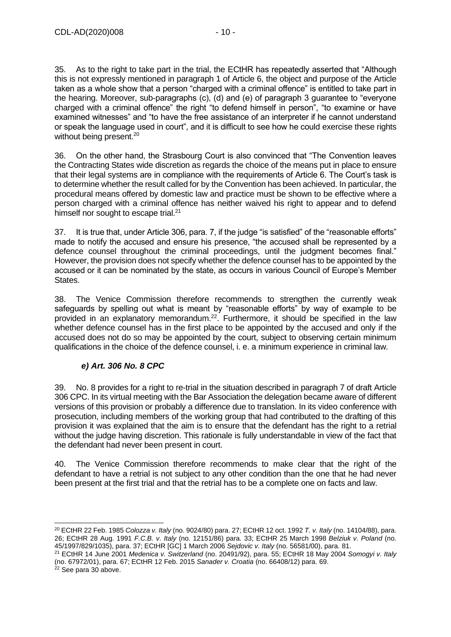35. As to the right to take part in the trial, the ECtHR has repeatedly asserted that "Although this is not expressly mentioned in paragraph 1 of Article 6, the object and purpose of the Article taken as a whole show that a person "charged with a criminal offence" is entitled to take part in the hearing. Moreover, sub-paragraphs (c), (d) and (e) of paragraph 3 guarantee to "everyone charged with a criminal offence" the right "to defend himself in person", "to examine or have examined witnesses" and "to have the free assistance of an interpreter if he cannot understand or speak the language used in court", and it is difficult to see how he could exercise these rights without being present.<sup>20</sup>

36. On the other hand, the Strasbourg Court is also convinced that "The Convention leaves the Contracting States wide discretion as regards the choice of the means put in place to ensure that their legal systems are in compliance with the requirements of Article 6. The Court's task is to determine whether the result called for by the Convention has been achieved. In particular, the procedural means offered by domestic law and practice must be shown to be effective where a person charged with a criminal offence has neither waived his right to appear and to defend himself nor sought to escape trial.<sup>21</sup>

37. It is true that, under Article 306, para. 7, if the judge "is satisfied" of the "reasonable efforts" made to notify the accused and ensure his presence, "the accused shall be represented by a defence counsel throughout the criminal proceedings, until the judgment becomes final." However, the provision does not specify whether the defence counsel has to be appointed by the accused or it can be nominated by the state, as occurs in various Council of Europe's Member States.

38. The Venice Commission therefore recommends to strengthen the currently weak safeguards by spelling out what is meant by "reasonable efforts" by way of example to be provided in an explanatory memorandum.<sup>22</sup>. Furthermore, it should be specified in the law whether defence counsel has in the first place to be appointed by the accused and only if the accused does not do so may be appointed by the court, subject to observing certain minimum qualifications in the choice of the defence counsel, i. e. a minimum experience in criminal law.

## *e) Art. 306 No. 8 CPC*

<span id="page-9-0"></span>39. No. 8 provides for a right to re-trial in the situation described in paragraph 7 of draft Article 306 CPC. In its virtual meeting with the Bar Association the delegation became aware of different versions of this provision or probably a difference due to translation. In its video conference with prosecution, including members of the working group that had contributed to the drafting of this provision it was explained that the aim is to ensure that the defendant has the right to a retrial without the judge having discretion. This rationale is fully understandable in view of the fact that the defendant had never been present in court.

40. The Venice Commission therefore recommends to make clear that the right of the defendant to have a retrial is not subject to any other condition than the one that he had never been present at the first trial and that the retrial has to be a complete one on facts and law.

<sup>20</sup> ECtHR 22 Feb. 1985 *Colozza v. Italy* (no. 9024/80) para. 27; ECtHR 12 oct. 1992 *T. v. Italy* (no. 14104/88), para. 26; ECtHR 28 Aug. 1991 *F.C.B. v. Italy* (no. 12151/86) para. 33; ECtHR 25 March 1998 *Belziuk v. Poland* (no. 45/1997/829/1035), para. 37; ECtHR [GC] 1 March 2006 *Sejdovic v. Italy* (no. 56581/00), para. 81.

<sup>21</sup> ECtHR 14 June 2001 *Medenica v. Switzerland* (no. 20491/92), para. 55; ECtHR 18 May 2004 *Somogyi v. Italy* (no. 67972/01), para. 67; ECtHR 12 Feb. 2015 *Sanader v. Croatia* (no. 66408/12) para. 69.

 $22$  See para 30 above.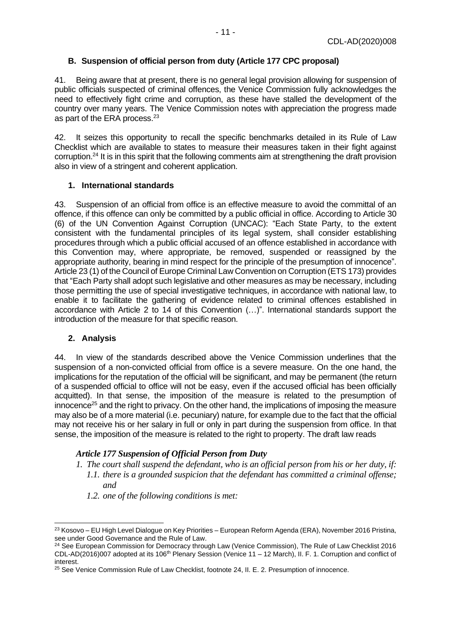### <span id="page-10-0"></span>**B. Suspension of official person from duty (Article 177 CPC proposal)**

41. Being aware that at present, there is no general legal provision allowing for suspension of public officials suspected of criminal offences, the Venice Commission fully acknowledges the need to effectively fight crime and corruption, as these have stalled the development of the country over many years. The Venice Commission notes with appreciation the progress made as part of the ERA process.<sup>23</sup>

42. It seizes this opportunity to recall the specific benchmarks detailed in its Rule of Law Checklist which are available to states to measure their measures taken in their fight against corruption.<sup>24</sup> It is in this spirit that the following comments aim at strengthening the draft provision also in view of a stringent and coherent application.

#### <span id="page-10-1"></span>**1. International standards**

43. Suspension of an official from office is an effective measure to avoid the committal of an offence, if this offence can only be committed by a public official in office. According to Article 30 (6) of the UN Convention Against Corruption (UNCAC): "Each State Party, to the extent consistent with the fundamental principles of its legal system, shall consider establishing procedures through which a public official accused of an offence established in accordance with this Convention may, where appropriate, be removed, suspended or reassigned by the appropriate authority, bearing in mind respect for the principle of the presumption of innocence". Article 23 (1) of the Council of Europe Criminal Law Convention on Corruption (ETS 173) provides that "Each Party shall adopt such legislative and other measures as may be necessary, including those permitting the use of special investigative techniques, in accordance with national law, to enable it to facilitate the gathering of evidence related to criminal offences established in accordance with Article 2 to 14 of this Convention (…)". International standards support the introduction of the measure for that specific reason.

#### <span id="page-10-2"></span>**2. Analysis**

44. In view of the standards described above the Venice Commission underlines that the suspension of a non-convicted official from office is a severe measure. On the one hand, the implications for the reputation of the official will be significant, and may be permanent (the return of a suspended official to office will not be easy, even if the accused official has been officially acquitted). In that sense, the imposition of the measure is related to the presumption of innocence<sup>25</sup> and the right to privacy. On the other hand, the implications of imposing the measure may also be of a more material (i.e. pecuniary) nature, for example due to the fact that the official may not receive his or her salary in full or only in part during the suspension from office. In that sense, the imposition of the measure is related to the right to property. The draft law reads

#### *Article 177 Suspension of Official Person from Duty*

- *1. The court shall suspend the defendant, who is an official person from his or her duty, if: 1.1. there is a grounded suspicion that the defendant has committed a criminal offense; and*
	- *1.2. one of the following conditions is met:*

<sup>23</sup> Kosovo – EU High Level Dialogue on Key Priorities – European Reform Agenda (ERA), November 2016 Pristina, see under Good Governance and the Rule of Law.

<sup>&</sup>lt;sup>24</sup> See European Commission for Democracy through Law (Venice Commission), The Rule of Law Checklist 2016  $CDL-AD(2016)007$  adopted at its 106<sup>th</sup> Plenary Session (Venice 11 – 12 March), II. F. 1. Corruption and conflict of interest.

<sup>&</sup>lt;sup>25</sup> See Venice Commission Rule of Law Checklist, footnote 24, II. E. 2. Presumption of innocence.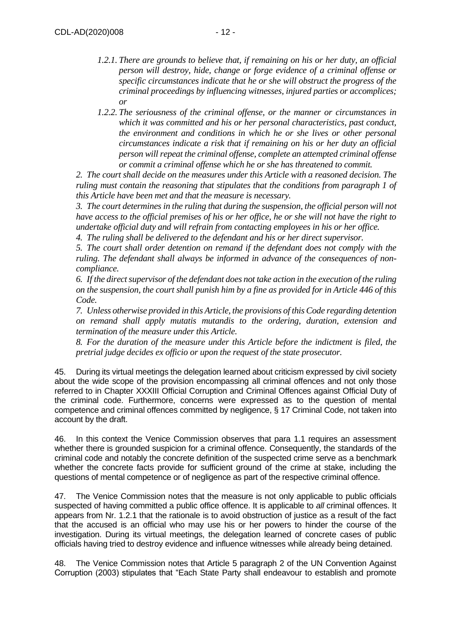- *1.2.1. There are grounds to believe that, if remaining on his or her duty, an official person will destroy, hide, change or forge evidence of a criminal offense or specific circumstances indicate that he or she will obstruct the progress of the criminal proceedings by influencing witnesses, injured parties or accomplices; or*
- *1.2.2. The seriousness of the criminal offense, or the manner or circumstances in which it was committed and his or her personal characteristics, past conduct, the environment and conditions in which he or she lives or other personal circumstances indicate a risk that if remaining on his or her duty an official person will repeat the criminal offense, complete an attempted criminal offense or commit a criminal offense which he or she has threatened to commit.*

*2. The court shall decide on the measures under this Article with a reasoned decision. The ruling must contain the reasoning that stipulates that the conditions from paragraph 1 of this Article have been met and that the measure is necessary.*

*3. The court determines in the ruling that during the suspension, the official person will not have access to the official premises of his or her office, he or she will not have the right to undertake official duty and will refrain from contacting employees in his or her office.*

*4. The ruling shall be delivered to the defendant and his or her direct supervisor.*

*5. The court shall order detention on remand if the defendant does not comply with the ruling. The defendant shall always be informed in advance of the consequences of noncompliance.*

*6. If the direct supervisor of the defendant does not take action in the execution of the ruling on the suspension, the court shall punish him by a fine as provided for in Article 446 of this Code.*

*7. Unless otherwise provided in this Article, the provisions of this Code regarding detention on remand shall apply mutatis mutandis to the ordering, duration, extension and termination of the measure under this Article.*

*8. For the duration of the measure under this Article before the indictment is filed, the pretrial judge decides ex officio or upon the request of the state prosecutor.*

45. During its virtual meetings the delegation learned about criticism expressed by civil society about the wide scope of the provision encompassing all criminal offences and not only those referred to in Chapter XXXIII Official Corruption and Criminal Offences against Official Duty of the criminal code. Furthermore, concerns were expressed as to the question of mental competence and criminal offences committed by negligence, § 17 Criminal Code, not taken into account by the draft.

46. In this context the Venice Commission observes that para 1.1 requires an assessment whether there is grounded suspicion for a criminal offence. Consequently, the standards of the criminal code and notably the concrete definition of the suspected crime serve as a benchmark whether the concrete facts provide for sufficient ground of the crime at stake, including the questions of mental competence or of negligence as part of the respective criminal offence.

47. The Venice Commission notes that the measure is not only applicable to public officials suspected of having committed a public office offence. It is applicable to *all* criminal offences. It appears from Nr. 1.2.1 that the rationale is to avoid obstruction of justice as a result of the fact that the accused is an official who may use his or her powers to hinder the course of the investigation. During its virtual meetings, the delegation learned of concrete cases of public officials having tried to destroy evidence and influence witnesses while already being detained.

48. The Venice Commission notes that Article 5 paragraph 2 of the UN Convention Against Corruption (2003) stipulates that "Each State Party shall endeavour to establish and promote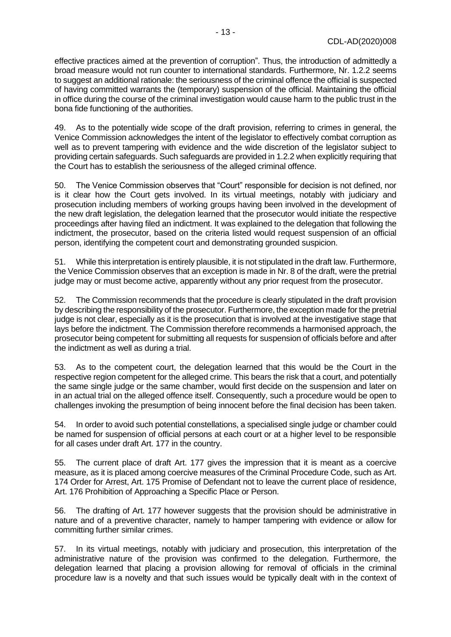effective practices aimed at the prevention of corruption". Thus, the introduction of admittedly a broad measure would not run counter to international standards. Furthermore, Nr. 1.2.2 seems to suggest an additional rationale: the seriousness of the criminal offence the official is suspected of having committed warrants the (temporary) suspension of the official. Maintaining the official in office during the course of the criminal investigation would cause harm to the public trust in the bona fide functioning of the authorities.

49. As to the potentially wide scope of the draft provision, referring to crimes in general, the Venice Commission acknowledges the intent of the legislator to effectively combat corruption as well as to prevent tampering with evidence and the wide discretion of the legislator subject to providing certain safeguards. Such safeguards are provided in 1.2.2 when explicitly requiring that the Court has to establish the seriousness of the alleged criminal offence.

50. The Venice Commission observes that "Court" responsible for decision is not defined, nor is it clear how the Court gets involved. In its virtual meetings, notably with judiciary and prosecution including members of working groups having been involved in the development of the new draft legislation, the delegation learned that the prosecutor would initiate the respective proceedings after having filed an indictment. It was explained to the delegation that following the indictment, the prosecutor, based on the criteria listed would request suspension of an official person, identifying the competent court and demonstrating grounded suspicion.

51. While this interpretation is entirely plausible, it is not stipulated in the draft law. Furthermore, the Venice Commission observes that an exception is made in Nr. 8 of the draft, were the pretrial judge may or must become active, apparently without any prior request from the prosecutor.

52. The Commission recommends that the procedure is clearly stipulated in the draft provision by describing the responsibility of the prosecutor. Furthermore, the exception made for the pretrial judge is not clear, especially as it is the prosecution that is involved at the investigative stage that lays before the indictment. The Commission therefore recommends a harmonised approach, the prosecutor being competent for submitting all requests for suspension of officials before and after the indictment as well as during a trial.

53. As to the competent court, the delegation learned that this would be the Court in the respective region competent for the alleged crime. This bears the risk that a court, and potentially the same single judge or the same chamber, would first decide on the suspension and later on in an actual trial on the alleged offence itself. Consequently, such a procedure would be open to challenges invoking the presumption of being innocent before the final decision has been taken.

54. In order to avoid such potential constellations, a specialised single judge or chamber could be named for suspension of official persons at each court or at a higher level to be responsible for all cases under draft Art. 177 in the country.

55. The current place of draft Art. 177 gives the impression that it is meant as a coercive measure, as it is placed among coercive measures of the Criminal Procedure Code, such as Art. 174 Order for Arrest, Art. 175 Promise of Defendant not to leave the current place of residence, Art. 176 Prohibition of Approaching a Specific Place or Person.

56. The drafting of Art. 177 however suggests that the provision should be administrative in nature and of a preventive character, namely to hamper tampering with evidence or allow for committing further similar crimes.

57. In its virtual meetings, notably with judiciary and prosecution, this interpretation of the administrative nature of the provision was confirmed to the delegation. Furthermore, the delegation learned that placing a provision allowing for removal of officials in the criminal procedure law is a novelty and that such issues would be typically dealt with in the context of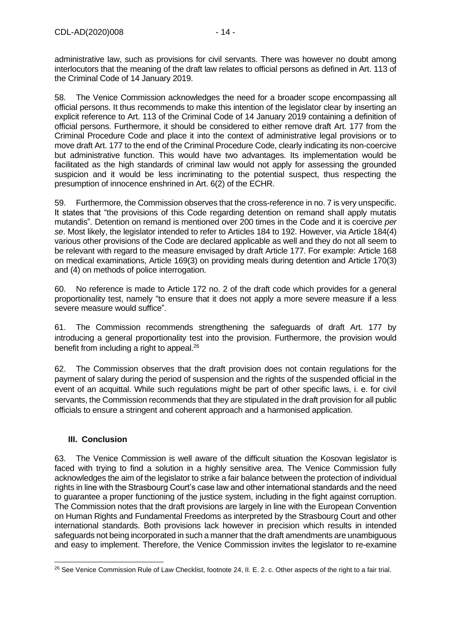administrative law, such as provisions for civil servants. There was however no doubt among interlocutors that the meaning of the draft law relates to official persons as defined in Art. 113 of the Criminal Code of 14 January 2019.

58. The Venice Commission acknowledges the need for a broader scope encompassing all official persons. It thus recommends to make this intention of the legislator clear by inserting an explicit reference to Art. 113 of the Criminal Code of 14 January 2019 containing a definition of official persons. Furthermore, it should be considered to either remove draft Art. 177 from the Criminal Procedure Code and place it into the context of administrative legal provisions or to move draft Art. 177 to the end of the Criminal Procedure Code, clearly indicating its non-coercive but administrative function. This would have two advantages. Its implementation would be facilitated as the high standards of criminal law would not apply for assessing the grounded suspicion and it would be less incriminating to the potential suspect, thus respecting the presumption of innocence enshrined in Art. 6(2) of the ECHR.

59. Furthermore, the Commission observes that the cross-reference in no. 7 is very unspecific. It states that "the provisions of this Code regarding detention on remand shall apply mutatis mutandis". Detention on remand is mentioned over 200 times in the Code and it is coercive *per se*. Most likely, the legislator intended to refer to Articles 184 to 192. However, via Article 184(4) various other provisions of the Code are declared applicable as well and they do not all seem to be relevant with regard to the measure envisaged by draft Article 177. For example: Article 168 on medical examinations, Article 169(3) on providing meals during detention and Article 170(3) and (4) on methods of police interrogation.

60. No reference is made to Article 172 no. 2 of the draft code which provides for a general proportionality test, namely "to ensure that it does not apply a more severe measure if a less severe measure would suffice".

61. The Commission recommends strengthening the safeguards of draft Art. 177 by introducing a general proportionality test into the provision. Furthermore, the provision would benefit from including a right to appeal.<sup>26</sup>

62. The Commission observes that the draft provision does not contain regulations for the payment of salary during the period of suspension and the rights of the suspended official in the event of an acquittal. While such regulations might be part of other specific laws, i. e. for civil servants, the Commission recommends that they are stipulated in the draft provision for all public officials to ensure a stringent and coherent approach and a harmonised application.

## <span id="page-13-0"></span>**III. Conclusion**

63. The Venice Commission is well aware of the difficult situation the Kosovan legislator is faced with trying to find a solution in a highly sensitive area. The Venice Commission fully acknowledges the aim of the legislator to strike a fair balance between the protection of individual rights in line with the Strasbourg Court's case law and other international standards and the need to guarantee a proper functioning of the justice system, including in the fight against corruption. The Commission notes that the draft provisions are largely in line with the European Convention on Human Rights and Fundamental Freedoms as interpreted by the Strasbourg Court and other international standards. Both provisions lack however in precision which results in intended safeguards not being incorporated in such a manner that the draft amendments are unambiguous and easy to implement. Therefore, the Venice Commission invites the legislator to re-examine

<sup>&</sup>lt;sup>26</sup> See Venice Commission Rule of Law Checklist, footnote 24, II. E. 2. c. Other aspects of the right to a fair trial.